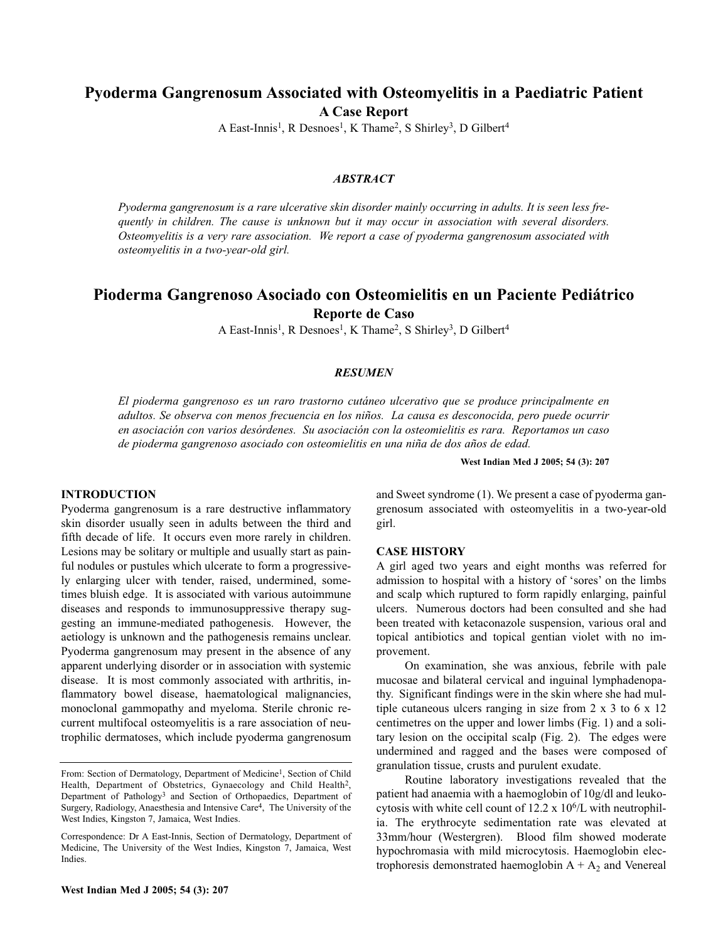# **Pyoderma Gangrenosum Associated with Osteomyelitis in a Paediatric Patient**

**A Case Report**

A East-Innis<sup>1</sup>, R Desnoes<sup>1</sup>, K Thame<sup>2</sup>, S Shirley<sup>3</sup>, D Gilbert<sup>4</sup>

### *ABSTRACT*

*Pyoderma gangrenosum is a rare ulcerative skin disorder mainly occurring in adults. It is seen less frequently in children. The cause is unknown but it may occur in association with several disorders. Osteomyelitis is a very rare association. We report a case of pyoderma gangrenosum associated with osteomyelitis in a two-year-old girl.*

# **Pioderma Gangrenoso Asociado con Osteomielitis en un Paciente Pediátrico Reporte de Caso**

A East-Innis<sup>1</sup>, R Desnoes<sup>1</sup>, K Thame<sup>2</sup>, S Shirley<sup>3</sup>, D Gilbert<sup>4</sup>

### *RESUMEN*

*El pioderma gangrenoso es un raro trastorno cutáneo ulcerativo que se produce principalmente en adultos. Se observa con menos frecuencia en los niños. La causa es desconocida, pero puede ocurrir en asociación con varios desórdenes. Su asociación con la osteomielitis es rara. Reportamos un caso de pioderma gangrenoso asociado con osteomielitis en una niña de dos años de edad.*

**West Indian Med J 2005; 54 (3): 207**

#### **INTRODUCTION**

Pyoderma gangrenosum is a rare destructive inflammatory skin disorder usually seen in adults between the third and fifth decade of life. It occurs even more rarely in children. Lesions may be solitary or multiple and usually start as painful nodules or pustules which ulcerate to form a progressively enlarging ulcer with tender, raised, undermined, sometimes bluish edge. It is associated with various autoimmune diseases and responds to immunosuppressive therapy suggesting an immune-mediated pathogenesis. However, the aetiology is unknown and the pathogenesis remains unclear. Pyoderma gangrenosum may present in the absence of any apparent underlying disorder or in association with systemic disease. It is most commonly associated with arthritis, inflammatory bowel disease, haematological malignancies, monoclonal gammopathy and myeloma. Sterile chronic recurrent multifocal osteomyelitis is a rare association of neutrophilic dermatoses, which include pyoderma gangrenosum

**West Indian Med J 2005; 54 (3): 207**

and Sweet syndrome (1). We present a case of pyoderma gangrenosum associated with osteomyelitis in a two-year-old girl.

#### **CASE HISTORY**

A girl aged two years and eight months was referred for admission to hospital with a history of 'sores' on the limbs and scalp which ruptured to form rapidly enlarging, painful ulcers. Numerous doctors had been consulted and she had been treated with ketaconazole suspension, various oral and topical antibiotics and topical gentian violet with no improvement.

On examination, she was anxious, febrile with pale mucosae and bilateral cervical and inguinal lymphadenopathy. Significant findings were in the skin where she had multiple cutaneous ulcers ranging in size from 2 x 3 to 6 x 12 centimetres on the upper and lower limbs (Fig. 1) and a solitary lesion on the occipital scalp (Fig. 2). The edges were undermined and ragged and the bases were composed of granulation tissue, crusts and purulent exudate.

Routine laboratory investigations revealed that the patient had anaemia with a haemoglobin of 10g/dl and leukocytosis with white cell count of  $12.2 \times 10^6$ /L with neutrophilia. The erythrocyte sedimentation rate was elevated at 33mm/hour (Westergren). Blood film showed moderate hypochromasia with mild microcytosis. Haemoglobin electrophoresis demonstrated haemoglobin  $A + A_2$  and Venereal

From: Section of Dermatology, Department of Medicine<sup>1</sup>, Section of Child Health, Department of Obstetrics, Gynaecology and Child Health<sup>2</sup>, Department of Pathology3 and Section of Orthopaedics, Department of Surgery, Radiology, Anaesthesia and Intensive Care4, The University of the West Indies, Kingston 7, Jamaica, West Indies.

Correspondence: Dr A East-Innis, Section of Dermatology, Department of Medicine, The University of the West Indies, Kingston 7, Jamaica, West Indies.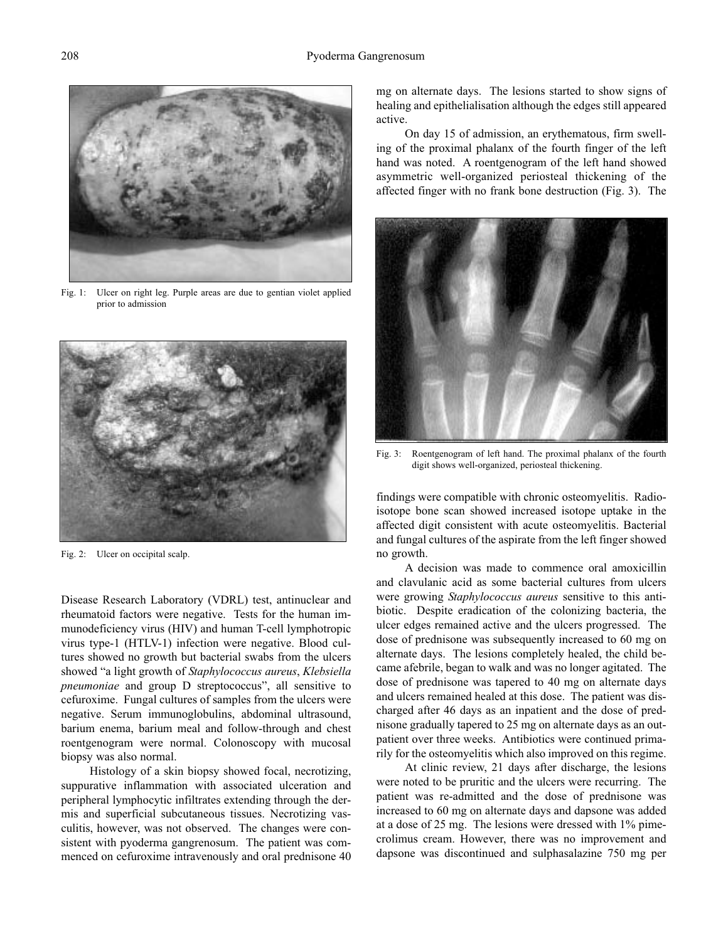

Fig. 1: Ulcer on right leg. Purple areas are due to gentian violet applied prior to admission



Fig. 2: Ulcer on occipital scalp.

Disease Research Laboratory (VDRL) test, antinuclear and rheumatoid factors were negative. Tests for the human immunodeficiency virus (HIV) and human T-cell lymphotropic virus type-1 (HTLV-1) infection were negative. Blood cultures showed no growth but bacterial swabs from the ulcers showed "a light growth of *Staphylococcus aureus*, *Klebsiella pneumoniae* and group D streptococcus", all sensitive to cefuroxime. Fungal cultures of samples from the ulcers were negative. Serum immunoglobulins, abdominal ultrasound, barium enema, barium meal and follow-through and chest roentgenogram were normal. Colonoscopy with mucosal biopsy was also normal.

Histology of a skin biopsy showed focal, necrotizing, suppurative inflammation with associated ulceration and peripheral lymphocytic infiltrates extending through the dermis and superficial subcutaneous tissues. Necrotizing vasculitis, however, was not observed. The changes were consistent with pyoderma gangrenosum. The patient was commenced on cefuroxime intravenously and oral prednisone 40 mg on alternate days. The lesions started to show signs of healing and epithelialisation although the edges still appeared active.

On day 15 of admission, an erythematous, firm swelling of the proximal phalanx of the fourth finger of the left hand was noted. A roentgenogram of the left hand showed asymmetric well-organized periosteal thickening of the affected finger with no frank bone destruction (Fig. 3). The



Fig. 3: Roentgenogram of left hand. The proximal phalanx of the fourth digit shows well-organized, periosteal thickening.

findings were compatible with chronic osteomyelitis. Radioisotope bone scan showed increased isotope uptake in the affected digit consistent with acute osteomyelitis. Bacterial and fungal cultures of the aspirate from the left finger showed no growth.

A decision was made to commence oral amoxicillin and clavulanic acid as some bacterial cultures from ulcers were growing *Staphylococcus aureus* sensitive to this antibiotic. Despite eradication of the colonizing bacteria, the ulcer edges remained active and the ulcers progressed. The dose of prednisone was subsequently increased to 60 mg on alternate days. The lesions completely healed, the child became afebrile, began to walk and was no longer agitated. The dose of prednisone was tapered to 40 mg on alternate days and ulcers remained healed at this dose. The patient was discharged after 46 days as an inpatient and the dose of prednisone gradually tapered to 25 mg on alternate days as an outpatient over three weeks. Antibiotics were continued primarily for the osteomyelitis which also improved on this regime.

At clinic review, 21 days after discharge, the lesions were noted to be pruritic and the ulcers were recurring. The patient was re-admitted and the dose of prednisone was increased to 60 mg on alternate days and dapsone was added at a dose of 25 mg. The lesions were dressed with 1% pimecrolimus cream. However, there was no improvement and dapsone was discontinued and sulphasalazine 750 mg per